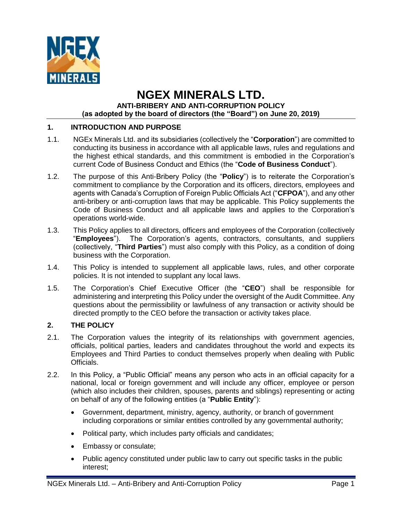

# **NGEX MINERALS LTD. ANTI-BRIBERY AND ANTI-CORRUPTION POLICY (as adopted by the board of directors (the "Board") on June 20, 2019)**

# **1. INTRODUCTION AND PURPOSE**

- 1.1. NGEx Minerals Ltd. and its subsidiaries (collectively the "**Corporation**") are committed to conducting its business in accordance with all applicable laws, rules and regulations and the highest ethical standards, and this commitment is embodied in the Corporation's current Code of Business Conduct and Ethics (the "**Code of Business Conduct**").
- 1.2. The purpose of this Anti-Bribery Policy (the "**Policy**") is to reiterate the Corporation's commitment to compliance by the Corporation and its officers, directors, employees and agents with Canada's Corruption of Foreign Public Officials Act ("**CFPOA**"), and any other anti-bribery or anti-corruption laws that may be applicable. This Policy supplements the Code of Business Conduct and all applicable laws and applies to the Corporation's operations world-wide.
- 1.3. This Policy applies to all directors, officers and employees of the Corporation (collectively "**Employees**"). The Corporation's agents, contractors, consultants, and suppliers (collectively, "**Third Parties**") must also comply with this Policy, as a condition of doing business with the Corporation.
- 1.4. This Policy is intended to supplement all applicable laws, rules, and other corporate policies. It is not intended to supplant any local laws.
- 1.5. The Corporation's Chief Executive Officer (the "**CEO**") shall be responsible for administering and interpreting this Policy under the oversight of the Audit Committee. Any questions about the permissibility or lawfulness of any transaction or activity should be directed promptly to the CEO before the transaction or activity takes place.

## **2. THE POLICY**

- 2.1. The Corporation values the integrity of its relationships with government agencies, officials, political parties, leaders and candidates throughout the world and expects its Employees and Third Parties to conduct themselves properly when dealing with Public Officials.
- 2.2. In this Policy, a "Public Official" means any person who acts in an official capacity for a national, local or foreign government and will include any officer, employee or person (which also includes their children, spouses, parents and siblings) representing or acting on behalf of any of the following entities (a "**Public Entity**"):
	- Government, department, ministry, agency, authority, or branch of government including corporations or similar entities controlled by any governmental authority;
	- Political party, which includes party officials and candidates;
	- Embassy or consulate;
	- Public agency constituted under public law to carry out specific tasks in the public interest;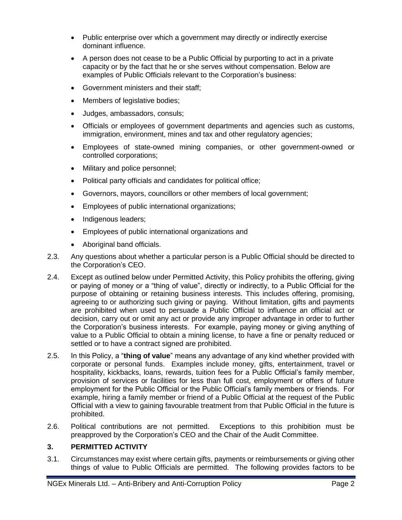- Public enterprise over which a government may directly or indirectly exercise dominant influence.
- A person does not cease to be a Public Official by purporting to act in a private capacity or by the fact that he or she serves without compensation. Below are examples of Public Officials relevant to the Corporation's business:
- Government ministers and their staff;
- Members of legislative bodies;
- Judges, ambassadors, consuls;
- Officials or employees of government departments and agencies such as customs, immigration, environment, mines and tax and other regulatory agencies;
- Employees of state-owned mining companies, or other government-owned or controlled corporations;
- Military and police personnel;
- Political party officials and candidates for political office;
- Governors, mayors, councillors or other members of local government;
- Employees of public international organizations;
- Indigenous leaders;
- Employees of public international organizations and
- Aboriginal band officials.
- 2.3. Any questions about whether a particular person is a Public Official should be directed to the Corporation's CEO.
- 2.4. Except as outlined below under Permitted Activity, this Policy prohibits the offering, giving or paying of money or a "thing of value", directly or indirectly, to a Public Official for the purpose of obtaining or retaining business interests. This includes offering, promising, agreeing to or authorizing such giving or paying. Without limitation, gifts and payments are prohibited when used to persuade a Public Official to influence an official act or decision, carry out or omit any act or provide any improper advantage in order to further the Corporation's business interests. For example, paying money or giving anything of value to a Public Official to obtain a mining license, to have a fine or penalty reduced or settled or to have a contract signed are prohibited.
- 2.5. In this Policy, a "**thing of value**" means any advantage of any kind whether provided with corporate or personal funds. Examples include money, gifts, entertainment, travel or hospitality, kickbacks, loans, rewards, tuition fees for a Public Official's family member, provision of services or facilities for less than full cost, employment or offers of future employment for the Public Official or the Public Official's family members or friends. For example, hiring a family member or friend of a Public Official at the request of the Public Official with a view to gaining favourable treatment from that Public Official in the future is prohibited.
- 2.6. Political contributions are not permitted. Exceptions to this prohibition must be preapproved by the Corporation's CEO and the Chair of the Audit Committee.

### **3. PERMITTED ACTIVITY**

3.1. Circumstances may exist where certain gifts, payments or reimbursements or giving other things of value to Public Officials are permitted. The following provides factors to be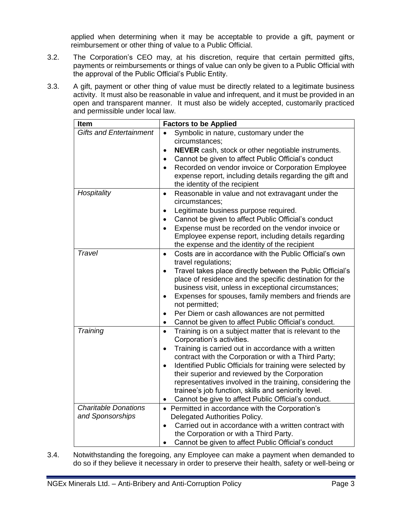applied when determining when it may be acceptable to provide a gift, payment or reimbursement or other thing of value to a Public Official.

- 3.2. The Corporation's CEO may, at his discretion, require that certain permitted gifts, payments or reimbursements or things of value can only be given to a Public Official with the approval of the Public Official's Public Entity.
- 3.3. A gift, payment or other thing of value must be directly related to a legitimate business activity. It must also be reasonable in value and infrequent, and it must be provided in an open and transparent manner. It must also be widely accepted, customarily practiced and permissible under local law.

| Item                           | <b>Factors to be Applied</b>                                                               |
|--------------------------------|--------------------------------------------------------------------------------------------|
| <b>Gifts and Entertainment</b> | Symbolic in nature, customary under the<br>$\bullet$                                       |
|                                | circumstances:                                                                             |
|                                | NEVER cash, stock or other negotiable instruments.<br>$\bullet$                            |
|                                | Cannot be given to affect Public Official's conduct<br>$\bullet$                           |
|                                | Recorded on vendor invoice or Corporation Employee                                         |
|                                | expense report, including details regarding the gift and                                   |
|                                | the identity of the recipient                                                              |
| Hospitality                    | Reasonable in value and not extravagant under the<br>$\bullet$                             |
|                                | circumstances;                                                                             |
|                                | Legitimate business purpose required.<br>$\bullet$                                         |
|                                | Cannot be given to affect Public Official's conduct<br>$\bullet$                           |
|                                | Expense must be recorded on the vendor invoice or<br>$\bullet$                             |
|                                | Employee expense report, including details regarding                                       |
| Travel                         | the expense and the identity of the recipient                                              |
|                                | Costs are in accordance with the Public Official's own<br>$\bullet$<br>travel regulations; |
|                                | Travel takes place directly between the Public Official's<br>$\bullet$                     |
|                                | place of residence and the specific destination for the                                    |
|                                | business visit, unless in exceptional circumstances;                                       |
|                                | Expenses for spouses, family members and friends are<br>$\bullet$                          |
|                                | not permitted;                                                                             |
|                                | Per Diem or cash allowances are not permitted<br>$\bullet$                                 |
|                                | Cannot be given to affect Public Official's conduct.<br>$\bullet$                          |
| Training                       | Training is on a subject matter that is relevant to the<br>$\bullet$                       |
|                                | Corporation's activities.                                                                  |
|                                | Training is carried out in accordance with a written<br>$\bullet$                          |
|                                | contract with the Corporation or with a Third Party;                                       |
|                                | Identified Public Officials for training were selected by<br>$\bullet$                     |
|                                | their superior and reviewed by the Corporation                                             |
|                                | representatives involved in the training, considering the                                  |
|                                | trainee's job function, skills and seniority level.                                        |
|                                | Cannot be give to affect Public Official's conduct.                                        |
| <b>Charitable Donations</b>    | • Permitted in accordance with the Corporation's                                           |
| and Sponsorships               | Delegated Authorities Policy.                                                              |
|                                | Carried out in accordance with a written contract with<br>$\bullet$                        |
|                                | the Corporation or with a Third Party.                                                     |
|                                | Cannot be given to affect Public Official's conduct<br>$\bullet$                           |

3.4. Notwithstanding the foregoing, any Employee can make a payment when demanded to do so if they believe it necessary in order to preserve their health, safety or well-being or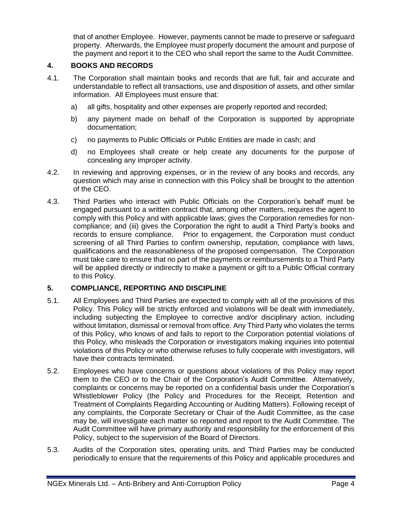that of another Employee. However, payments cannot be made to preserve or safeguard property. Afterwards, the Employee must properly document the amount and purpose of the payment and report it to the CEO who shall report the same to the Audit Committee.

#### **4. BOOKS AND RECORDS**

- 4.1. The Corporation shall maintain books and records that are full, fair and accurate and understandable to reflect all transactions, use and disposition of assets, and other similar information. All Employees must ensure that:
	- a) all gifts, hospitality and other expenses are properly reported and recorded;
	- b) any payment made on behalf of the Corporation is supported by appropriate documentation;
	- c) no payments to Public Officials or Public Entities are made in cash; and
	- d) no Employees shall create or help create any documents for the purpose of concealing any improper activity.
- 4.2. In reviewing and approving expenses, or in the review of any books and records, any question which may arise in connection with this Policy shall be brought to the attention of the CEO.
- 4.3. Third Parties who interact with Public Officials on the Corporation's behalf must be engaged pursuant to a written contract that, among other matters, requires the agent to comply with this Policy and with applicable laws; gives the Corporation remedies for noncompliance; and (iii) gives the Corporation the right to audit a Third Party's books and records to ensure compliance. Prior to engagement, the Corporation must conduct screening of all Third Parties to confirm ownership, reputation, compliance with laws, qualifications and the reasonableness of the proposed compensation. The Corporation must take care to ensure that no part of the payments or reimbursements to a Third Party will be applied directly or indirectly to make a payment or gift to a Public Official contrary to this Policy.

#### **5. COMPLIANCE, REPORTING AND DISCIPLINE**

- 5.1. All Employees and Third Parties are expected to comply with all of the provisions of this Policy. This Policy will be strictly enforced and violations will be dealt with immediately, including subjecting the Employee to corrective and/or disciplinary action, including without limitation, dismissal or removal from office. Any Third Party who violates the terms of this Policy, who knows of and fails to report to the Corporation potential violations of this Policy, who misleads the Corporation or investigators making inquiries into potential violations of this Policy or who otherwise refuses to fully cooperate with investigators, will have their contracts terminated.
- 5.2. Employees who have concerns or questions about violations of this Policy may report them to the CEO or to the Chair of the Corporation's Audit Committee. Alternatively, complaints or concerns may be reported on a confidential basis under the Corporation's Whistleblower Policy (the Policy and Procedures for the Receipt, Retention and Treatment of Complaints Regarding Accounting or Auditing Matters). Following receipt of any complaints, the Corporate Secretary or Chair of the Audit Committee, as the case may be, will investigate each matter so reported and report to the Audit Committee. The Audit Committee will have primary authority and responsibility for the enforcement of this Policy, subject to the supervision of the Board of Directors.
- 5.3. Audits of the Corporation sites, operating units, and Third Parties may be conducted periodically to ensure that the requirements of this Policy and applicable procedures and